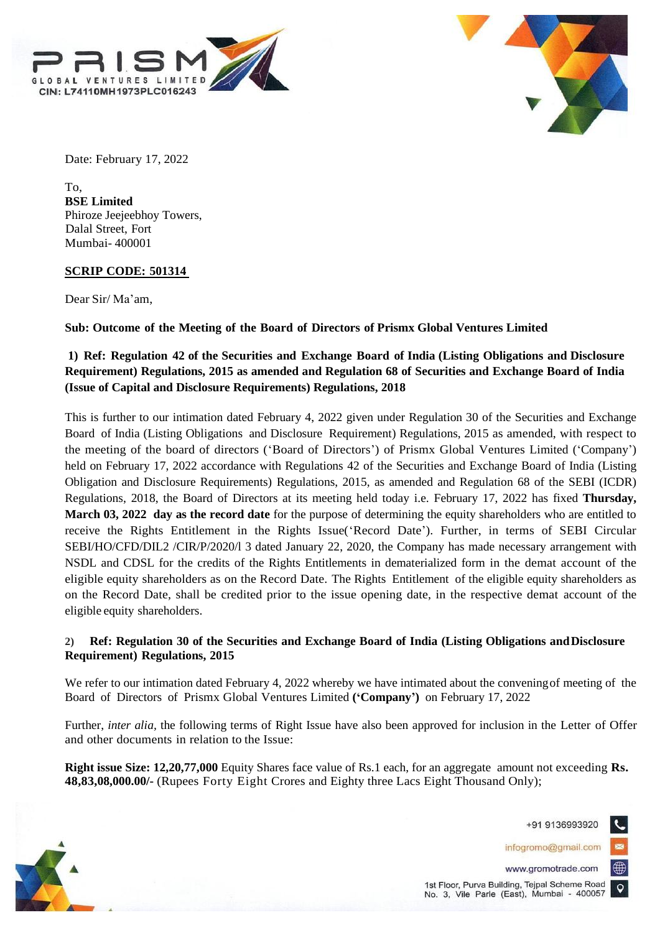



Date: February 17, 2022

To, **BSE Limited** Phiroze Jeejeebhoy Towers, Dalal Street, Fort Mumbai- 400001

## **SCRIP CODE: 501314**

Dear Sir/ Ma'am,

**Sub: Outcome of the Meeting of the Board of Directors of Prismx Global Ventures Limited**

## **1) Ref: Regulation 42 of the Securities and Exchange Board of India (Listing Obligations and Disclosure Requirement) Regulations, 2015 as amended and Regulation 68 of Securities and Exchange Board of India (Issue of Capital and Disclosure Requirements) Regulations, 2018**

This is further to our intimation dated February 4, 2022 given under Regulation 30 of the Securities and Exchange Board of India (Listing Obligations and Disclosure Requirement) Regulations, 2015 as amended, with respect to the meeting of the board of directors ('Board of Directors') of Prismx Global Ventures Limited ('Company') held on February 17, 2022 accordance with Regulations 42 of the Securities and Exchange Board of India (Listing Obligation and Disclosure Requirements) Regulations, 2015, as amended and Regulation 68 of the SEBI (ICDR) Regulations, 2018, the Board of Directors at its meeting held today i.e. February 17, 2022 has fixed **Thursday, March 03, 2022 day as the record date** for the purpose of determining the equity shareholders who are entitled to receive the Rights Entitlement in the Rights Issue('Record Date'). Further, in terms of SEBI Circular SEBI/HO/CFD/DIL2 /CIR/P/2020/l 3 dated January 22, 2020, the Company has made necessary arrangement with NSDL and CDSL for the credits of the Rights Entitlements in dematerialized form in the demat account of the eligible equity shareholders as on the Record Date. The Rights Entitlement of the eligible equity shareholders as on the Record Date, shall be credited prior to the issue opening date, in the respective demat account of the eligible equity shareholders.

## **2) Ref: Regulation 30 of the Securities and Exchange Board of India (Listing Obligations andDisclosure Requirement) Regulations, 2015**

We refer to our intimation dated February 4, 2022 whereby we have intimated about the convening of meeting of the Board of Directors of Prismx Global Ventures Limited **('Company')** on February 17, 2022

Further, *inter alia*, the following terms of Right Issue have also been approved for inclusion in the Letter of Offer and other documents in relation to the Issue:

**Right issue Size: 12,20,77,000** Equity Shares face value of Rs.1 each, for an aggregate amount not exceeding **Rs. 48,83,08,000.00/-** (Rupees Forty Eight Crores and Eighty three Lacs Eight Thousand Only);

+91 9136993920

infogromo@gmail.com



1st Floor, Purva Building, Tejpal Scheme Road No. 3, Vile Parle (East), Mumbai - 400057